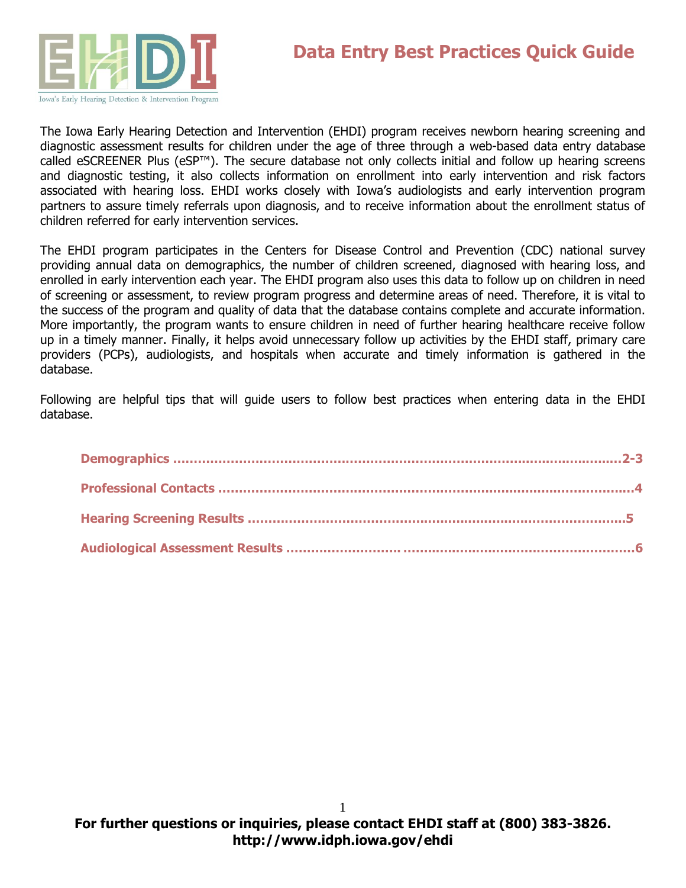

The Iowa Early Hearing Detection and Intervention (EHDI) program receives newborn hearing screening and diagnostic assessment results for children under the age of three through a web-based data entry database called eSCREENER Plus (eSP™). The secure database not only collects initial and follow up hearing screens and diagnostic testing, it also collects information on enrollment into early intervention and risk factors associated with hearing loss. EHDI works closely with Iowa's audiologists and early intervention program partners to assure timely referrals upon diagnosis, and to receive information about the enrollment status of children referred for early intervention services.

The EHDI program participates in the Centers for Disease Control and Prevention (CDC) national survey providing annual data on demographics, the number of children screened, diagnosed with hearing loss, and enrolled in early intervention each year. The EHDI program also uses this data to follow up on children in need of screening or assessment, to review program progress and determine areas of need. Therefore, it is vital to the success of the program and quality of data that the database contains complete and accurate information. More importantly, the program wants to ensure children in need of further hearing healthcare receive follow up in a timely manner. Finally, it helps avoid unnecessary follow up activities by the EHDI staff, primary care providers (PCPs), audiologists, and hospitals when accurate and timely information is gathered in the database.

Following are helpful tips that will guide users to follow best practices when entering data in the EHDI database.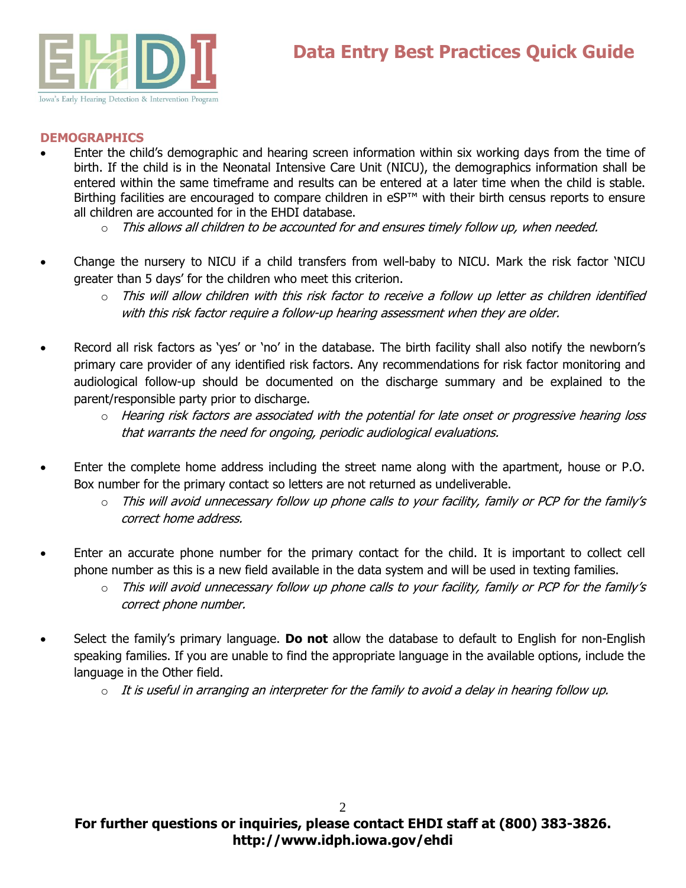

#### **DEMOGRAPHICS**

- Enter the child's demographic and hearing screen information within six working days from the time of birth. If the child is in the Neonatal Intensive Care Unit (NICU), the demographics information shall be entered within the same timeframe and results can be entered at a later time when the child is stable. Birthing facilities are encouraged to compare children in eSP™ with their birth census reports to ensure all children are accounted for in the EHDI database.
	- $\circ$  This allows all children to be accounted for and ensures timely follow up, when needed.
- Change the nursery to NICU if a child transfers from well-baby to NICU. Mark the risk factor 'NICU greater than 5 days' for the children who meet this criterion.
	- $\circ$  This will allow children with this risk factor to receive a follow up letter as children identified with this risk factor require a follow-up hearing assessment when they are older.
- Record all risk factors as 'yes' or 'no' in the database. The birth facility shall also notify the newborn's primary care provider of any identified risk factors. Any recommendations for risk factor monitoring and audiological follow-up should be documented on the discharge summary and be explained to the parent/responsible party prior to discharge.
	- $\circ$  Hearing risk factors are associated with the potential for late onset or progressive hearing loss that warrants the need for ongoing, periodic audiological evaluations.
- Enter the complete home address including the street name along with the apartment, house or P.O. Box number for the primary contact so letters are not returned as undeliverable.
	- $\circ$  This will avoid unnecessary follow up phone calls to your facility, family or PCP for the family's correct home address.
- Enter an accurate phone number for the primary contact for the child. It is important to collect cell phone number as this is a new field available in the data system and will be used in texting families.
	- $\circ$  This will avoid unnecessary follow up phone calls to your facility, family or PCP for the family's correct phone number.
- Select the family's primary language. **Do not** allow the database to default to English for non-English speaking families. If you are unable to find the appropriate language in the available options, include the language in the Other field.
	- $\circ$  It is useful in arranging an interpreter for the family to avoid a delay in hearing follow up.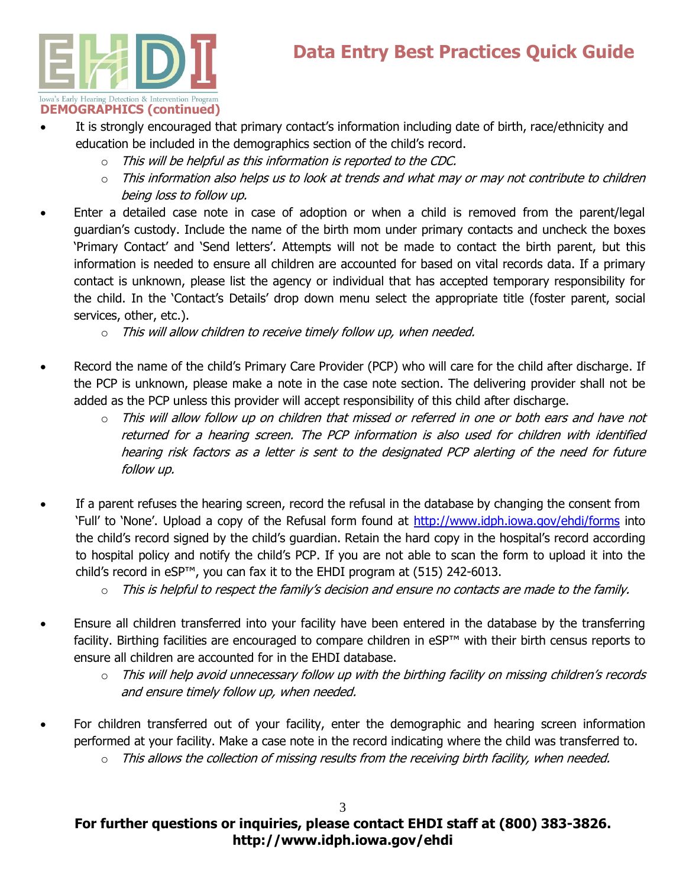# **Data Entry Best Practices Quick Guide**



- It is strongly encouraged that primary contact's information including date of birth, race/ethnicity and education be included in the demographics section of the child's record.
	- $\circ$  This will be helpful as this information is reported to the CDC.
	- $\circ$  This information also helps us to look at trends and what may or may not contribute to children being loss to follow up.
- Enter a detailed case note in case of adoption or when a child is removed from the parent/legal guardian's custody. Include the name of the birth mom under primary contacts and uncheck the boxes 'Primary Contact' and 'Send letters'. Attempts will not be made to contact the birth parent, but this information is needed to ensure all children are accounted for based on vital records data. If a primary contact is unknown, please list the agency or individual that has accepted temporary responsibility for the child. In the 'Contact's Details' drop down menu select the appropriate title (foster parent, social services, other, etc.).
	- $\circ$  This will allow children to receive timely follow up, when needed.
- Record the name of the child's Primary Care Provider (PCP) who will care for the child after discharge. If the PCP is unknown, please make a note in the case note section. The delivering provider shall not be added as the PCP unless this provider will accept responsibility of this child after discharge.
	- $\circ$  This will allow follow up on children that missed or referred in one or both ears and have not returned for a hearing screen. The PCP information is also used for children with identified hearing risk factors as a letter is sent to the designated PCP alerting of the need for future follow up.
- If a parent refuses the hearing screen, record the refusal in the database by changing the consent from 'Full' to 'None'. Upload a copy of the Refusal form found at<http://www.idph.iowa.gov/ehdi/forms> into the child's record signed by the child's guardian. Retain the hard copy in the hospital's record according to hospital policy and notify the child's PCP. If you are not able to scan the form to upload it into the child's record in eSP™, you can fax it to the EHDI program at (515) 242-6013.
	- $\circ$  This is helpful to respect the family's decision and ensure no contacts are made to the family.
- Ensure all children transferred into your facility have been entered in the database by the transferring facility. Birthing facilities are encouraged to compare children in eSP™ with their birth census reports to ensure all children are accounted for in the EHDI database.
	- $\circ$  This will help avoid unnecessary follow up with the birthing facility on missing children's records and ensure timely follow up, when needed.
- For children transferred out of your facility, enter the demographic and hearing screen information performed at your facility. Make a case note in the record indicating where the child was transferred to.
	- $\circ$  This allows the collection of missing results from the receiving birth facility, when needed.

# **For further questions or inquiries, please contact EHDI staff at (800) 383-3826. http://www.idph.iowa.gov/ehdi**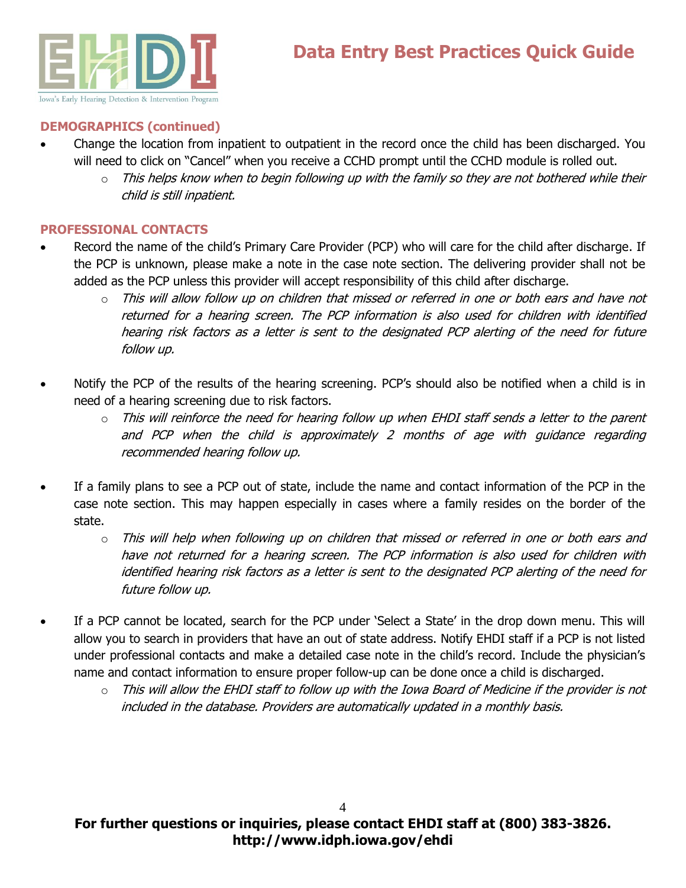

## **DEMOGRAPHICS (continued)**

- Change the location from inpatient to outpatient in the record once the child has been discharged. You will need to click on "Cancel" when you receive a CCHD prompt until the CCHD module is rolled out.
	- $\circ$  This helps know when to begin following up with the family so they are not bothered while their child is still inpatient.

#### **PROFESSIONAL CONTACTS**

- Record the name of the child's Primary Care Provider (PCP) who will care for the child after discharge. If the PCP is unknown, please make a note in the case note section. The delivering provider shall not be added as the PCP unless this provider will accept responsibility of this child after discharge.
	- $\circ$  This will allow follow up on children that missed or referred in one or both ears and have not returned for a hearing screen. The PCP information is also used for children with identified hearing risk factors as a letter is sent to the designated PCP alerting of the need for future follow up.
- Notify the PCP of the results of the hearing screening. PCP's should also be notified when a child is in need of a hearing screening due to risk factors.
	- $\circ$  This will reinforce the need for hearing follow up when EHDI staff sends a letter to the parent and PCP when the child is approximately 2 months of age with guidance regarding recommended hearing follow up.
- If a family plans to see a PCP out of state, include the name and contact information of the PCP in the case note section. This may happen especially in cases where a family resides on the border of the state.
	- $\circ$  This will help when following up on children that missed or referred in one or both ears and have not returned for a hearing screen. The PCP information is also used for children with identified hearing risk factors as a letter is sent to the designated PCP alerting of the need for future follow up.
- If a PCP cannot be located, search for the PCP under 'Select a State' in the drop down menu. This will allow you to search in providers that have an out of state address. Notify EHDI staff if a PCP is not listed under professional contacts and make a detailed case note in the child's record. Include the physician's name and contact information to ensure proper follow-up can be done once a child is discharged.
	- $\circ$  This will allow the EHDI staff to follow up with the Iowa Board of Medicine if the provider is not included in the database. Providers are automatically updated in a monthly basis.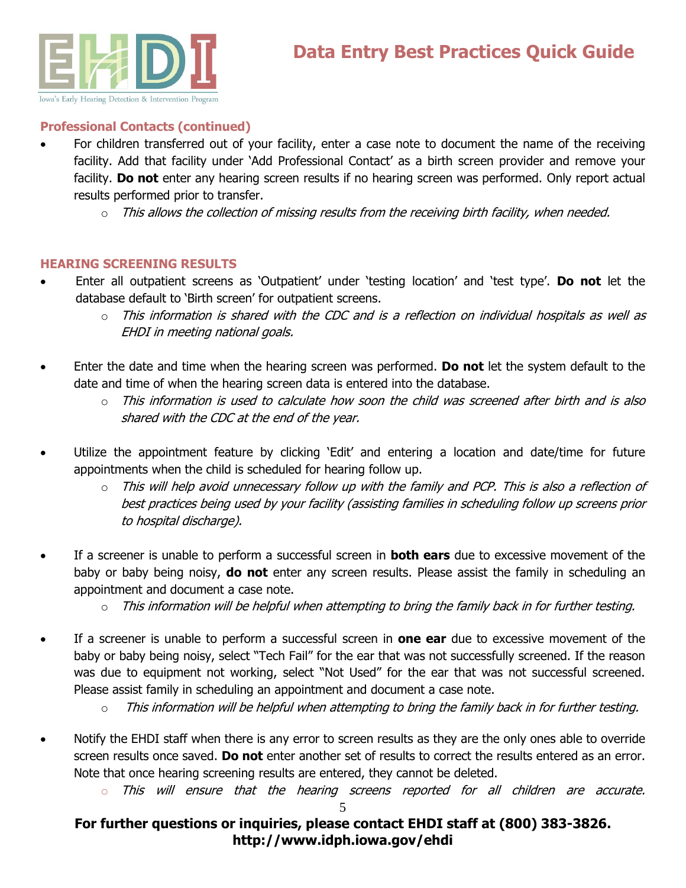

## **Professional Contacts (continued)**

- For children transferred out of your facility, enter a case note to document the name of the receiving facility. Add that facility under 'Add Professional Contact' as a birth screen provider and remove your facility. **Do not** enter any hearing screen results if no hearing screen was performed. Only report actual results performed prior to transfer.
	- $\circ$  This allows the collection of missing results from the receiving birth facility, when needed.

## **HEARING SCREENING RESULTS**

- Enter all outpatient screens as 'Outpatient' under 'testing location' and 'test type'. **Do not** let the database default to 'Birth screen' for outpatient screens.
	- o This information is shared with the CDC and is a reflection on individual hospitals as well as EHDI in meeting national goals.
- Enter the date and time when the hearing screen was performed. **Do not** let the system default to the date and time of when the hearing screen data is entered into the database.
	- o This information is used to calculate how soon the child was screened after birth and is also shared with the CDC at the end of the year.
- Utilize the appointment feature by clicking 'Edit' and entering a location and date/time for future appointments when the child is scheduled for hearing follow up.
	- $\circ$  This will help avoid unnecessary follow up with the family and PCP. This is also a reflection of best practices being used by your facility (assisting families in scheduling follow up screens prior to hospital discharge).
- If a screener is unable to perform a successful screen in **both ears** due to excessive movement of the baby or baby being noisy, **do not** enter any screen results. Please assist the family in scheduling an appointment and document a case note.
	- $\circ$  This information will be helpful when attempting to bring the family back in for further testing.
- If a screener is unable to perform a successful screen in **one ear** due to excessive movement of the baby or baby being noisy, select "Tech Fail" for the ear that was not successfully screened. If the reason was due to equipment not working, select "Not Used" for the ear that was not successful screened. Please assist family in scheduling an appointment and document a case note.

- Notify the EHDI staff when there is any error to screen results as they are the only ones able to override screen results once saved. **Do not** enter another set of results to correct the results entered as an error. Note that once hearing screening results are entered, they cannot be deleted.
	- This will ensure that the hearing screens reported for all children are accurate.

5

# **For further questions or inquiries, please contact EHDI staff at (800) 383-3826. http://www.idph.iowa.gov/ehdi**

 $\circ$  This information will be helpful when attempting to bring the family back in for further testing.